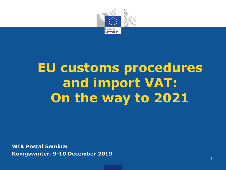

# **EU customs procedures and import VAT: On the way to 2021**

**WIK Postal Seminar Königswinter, 9-10 December 2019**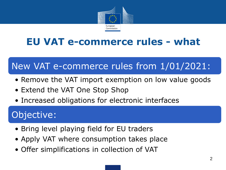

# **EU VAT e-commerce rules - what**

# New VAT e-commerce rules from 1/01/2021:

- Remove the VAT import exemption on low value goods
- Extend the VAT One Stop Shop
- Increased obligations for electronic interfaces

# Objective:

- Bring level playing field for EU traders
- Apply VAT where consumption takes place
- Offer simplifications in collection of VAT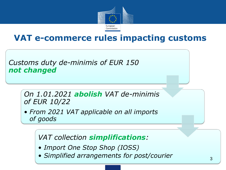

## **VAT e-commerce rules impacting customs**

*Customs duty de-minimis of EUR 150 not changed*

> *On 1.01.2021 abolish VAT de-minimis of EUR 10/22*

• *From 2021 VAT applicable on all imports of goods*

*VAT collection simplifications:*

- *Import One Stop Shop (IOSS)*
- Simplified arrangements for post/courier 3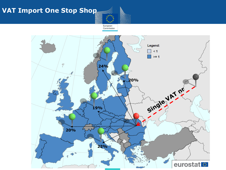#### **VAT Import One Stop Shop**



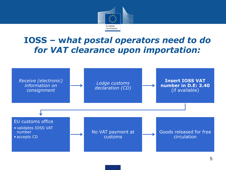

# **IOSS – w***hat postal operators need to do for VAT clearance upon importation:*

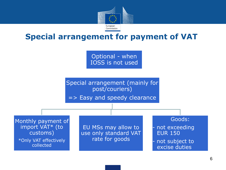

#### **Special arrangement for payment of VAT**

Optional - when IOSS is not used

Special arrangement (mainly for post/couriers)

=> Easy and speedy clearance

Monthly payment of import VAT\* (to customs) \*Only VAT effectively collected

EU MSs may allow to use only standard VAT rate for goods

not exceeding EUR 150

Goods:

not subject to excise duties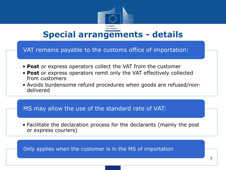

## **Special arrangements - details**

VAT remains payable to the customs office of importation:

- **Post** or express operators collect the VAT from the customer
- **Post** or express operators remit only the VAT effectively collected from customers
- Avoids burdensome refund procedures when goods are refused/nondelivered

MS may allow the use of the standard rate of VAT:

• Facilitate the declaration process for the declarants (mainly the post or express couriers)

Only applies when the customer is in the MS of importation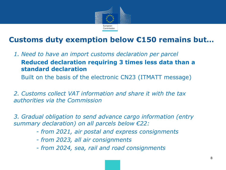

#### **Customs duty exemption below €150 remains but…**

*1. Need to have an import customs declaration per parcel* **Reduced declaration requiring 3 times less data than a standard declaration**

Built on the basis of the electronic CN23 (ITMATT message)

*2. Customs collect VAT information and share it with the tax authorities via the Commission*

*3. Gradual obligation to send advance cargo information (entry summary declaration) on all parcels below €22:* 

- *- from 2021, air postal and express consignments*
- *- from 2023, all air consignments*
- *- from 2024, sea, rail and road consignments*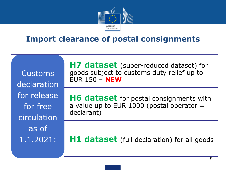

#### **Import clearance of postal consignments**

Customs declaration for release for free circulation as of 1.1.2021:

**H7 dataset** (super-reduced dataset) for goods subject to customs duty relief up to EUR 150 – **NEW**

**H6 dataset** for postal consignments with a value up to EUR 1000 (postal operator  $=$ declarant)

**H1 dataset** (full declaration) for all goods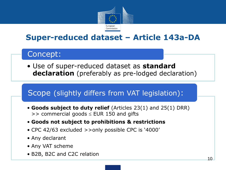

#### **Super-reduced dataset – Article 143a-DA**

#### Concept:

• Use of super-reduced dataset as **standard declaration** (preferably as pre-lodged declaration)

#### Scope (slightly differs from VAT legislation):

- **Goods subject to duty relief** (Articles 23(1) and 25(1) DRR)  $\geq$  commercial goods  $\leq$  EUR 150 and gifts
- **Goods not subject to prohibitions & restrictions**
- CPC 42/63 excluded >>only possible CPC is '4000'
- Any declarant
- Any VAT scheme
- B2B, B2C and C2C relation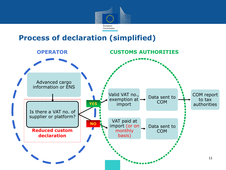

#### **Process of declaration (simplified)**

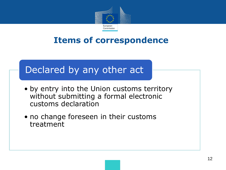

# **Items of correspondence**

# Declared by any other act

- by entry into the Union customs territory without submitting a formal electronic customs declaration
- no change foreseen in their customs treatment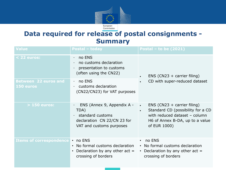

#### **Data required for release of postal consignments - Summary**

| <b>Value</b>                             | Postal - today                                                                                                            | Postal – to be $(2021)$                                                                                                                                                          |
|------------------------------------------|---------------------------------------------------------------------------------------------------------------------------|----------------------------------------------------------------------------------------------------------------------------------------------------------------------------------|
| $<$ 22 euros:                            | no ENS<br>$\blacksquare$<br>no customs declaration<br>$\blacksquare$<br>presentation to customs<br>(often using the CN22) | $ENS (CN23 + carrier filing)$<br>$\bullet$                                                                                                                                       |
| <b>Between 22 euros and</b><br>150 euros | no ENS<br>$\bullet$<br>customs declaration<br>$\blacksquare$<br>(CN22/CN23) for VAT purposes                              | CD with super-reduced dataset                                                                                                                                                    |
| $>150$ euros:                            | ENS (Annex 9, Appendix A -<br>TDA)<br>· standard customs<br>declaration CN 22/CN 23 for<br>VAT and customs purposes       | $ENS (CN23 + carrier filing)$<br>$\bullet$<br>Standard CD (possibility for a CD<br>$\bullet$<br>with reduced dataset - column<br>H6 of Annex B-DA, up to a value<br>of EUR 1000) |
| <b>Items of correspondence</b>           | • no ENS<br>• No formal customs declaration<br>Declaration by any other $act =$<br>crossing of borders                    | no ENS<br>$\bullet$<br>• No formal customs declaration<br>Declaration by any other $act =$<br>$\bullet$<br>crossing of borders                                                   |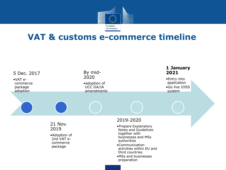

#### **VAT & customs e-commerce timeline**



preparation